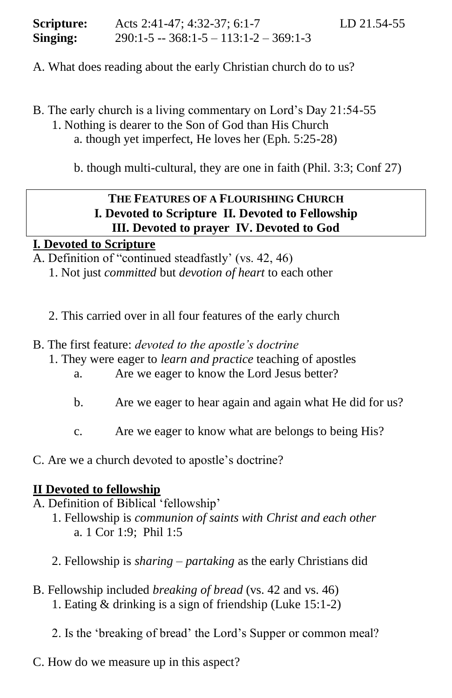| Scripture: | Acts 2:41-47; 4:32-37; 6:1-7                    | LD 21.54-55 |
|------------|-------------------------------------------------|-------------|
| Singing:   | $290:1 - 5 - 368:1 - 5 - 113:1 - 2 - 369:1 - 3$ |             |

- A. What does reading about the early Christian church do to us?
- B. The early church is a living commentary on Lord's Day 21:54-55 1. Nothing is dearer to the Son of God than His Church a. though yet imperfect, He loves her (Eph. 5:25-28)

b. though multi-cultural, they are one in faith (Phil. 3:3; Conf 27)

# **THE FEATURES OF A FLOURISHING CHURCH I. Devoted to Scripture II. Devoted to Fellowship III. Devoted to prayer IV. Devoted to God**

## **I. Devoted to Scripture**

A. Definition of "continued steadfastly' (vs. 42, 46)

- 1. Not just *committed* but *devotion of heart* to each other
- 2. This carried over in all four features of the early church
- B. The first feature: *devoted to the apostle's doctrine* 
	- 1. They were eager to *learn and practice* teaching of apostles
		- a. Are we eager to know the Lord Jesus better?
		- b. Are we eager to hear again and again what He did for us?
		- c. Are we eager to know what are belongs to being His?
- C. Are we a church devoted to apostle's doctrine?

## **II Devoted to fellowship**

- A. Definition of Biblical 'fellowship'
	- 1. Fellowship is *communion of saints with Christ and each other*  a. 1 Cor 1:9; Phil 1:5
	- 2. Fellowship is *sharing – partaking* as the early Christians did
- B. Fellowship included *breaking of bread* (vs. 42 and vs. 46) 1. Eating & drinking is a sign of friendship (Luke 15:1-2)

2. Is the 'breaking of bread' the Lord's Supper or common meal?

C. How do we measure up in this aspect?